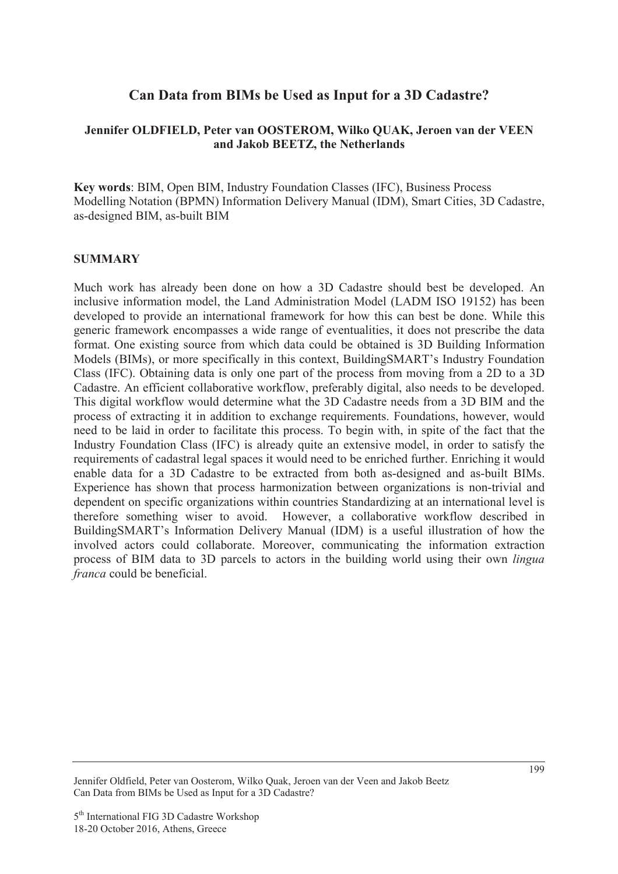# **Can Data from BIMs be Used as Input for a 3D Cadastre?**

### **Jennifer OLDFIELD, Peter van OOSTEROM, Wilko QUAK, Jeroen van der VEEN and Jakob BEETZ, the Netherlands**

**Key words**: BIM, Open BIM, Industry Foundation Classes (IFC), Business Process Modelling Notation (BPMN) Information Delivery Manual (IDM), Smart Cities, 3D Cadastre, as-designed BIM, as-built BIM

#### **SUMMARY**

Much work has already been done on how a 3D Cadastre should best be developed. An inclusive information model, the Land Administration Model (LADM ISO 19152) has been developed to provide an international framework for how this can best be done. While this generic framework encompasses a wide range of eventualities, it does not prescribe the data format. One existing source from which data could be obtained is 3D Building Information Models (BIMs), or more specifically in this context, BuildingSMART's Industry Foundation Class (IFC). Obtaining data is only one part of the process from moving from a 2D to a 3D Cadastre. An efficient collaborative workflow, preferably digital, also needs to be developed. This digital workflow would determine what the 3D Cadastre needs from a 3D BIM and the process of extracting it in addition to exchange requirements. Foundations, however, would need to be laid in order to facilitate this process. To begin with, in spite of the fact that the Industry Foundation Class (IFC) is already quite an extensive model, in order to satisfy the requirements of cadastral legal spaces it would need to be enriched further. Enriching it would enable data for a 3D Cadastre to be extracted from both as-designed and as-built BIMs. Experience has shown that process harmonization between organizations is non-trivial and dependent on specific organizations within countries Standardizing at an international level is therefore something wiser to avoid. However, a collaborative workflow described in BuildingSMART's Information Delivery Manual (IDM) is a useful illustration of how the involved actors could collaborate. Moreover, communicating the information extraction process of BIM data to 3D parcels to actors in the building world using their own *lingua franca* could be beneficial.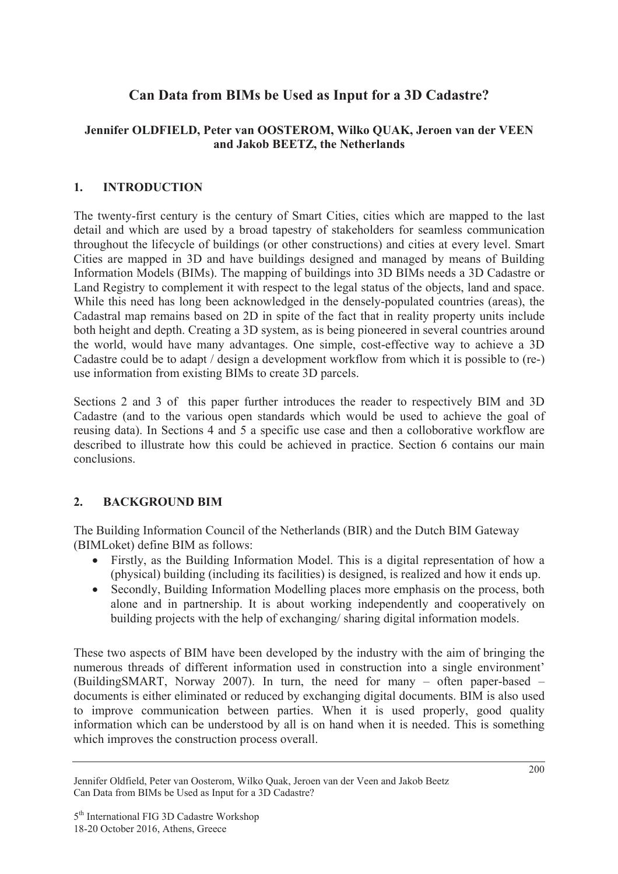# **Can Data from BIMs be Used as Input for a 3D Cadastre?**

# **Jennifer OLDFIELD, Peter van OOSTEROM, Wilko QUAK, Jeroen van der VEEN and Jakob BEETZ, the Netherlands**

### **1. INTRODUCTION**

The twenty-first century is the century of Smart Cities, cities which are mapped to the last detail and which are used by a broad tapestry of stakeholders for seamless communication throughout the lifecycle of buildings (or other constructions) and cities at every level. Smart Cities are mapped in 3D and have buildings designed and managed by means of Building Information Models (BIMs). The mapping of buildings into 3D BIMs needs a 3D Cadastre or Land Registry to complement it with respect to the legal status of the objects, land and space. While this need has long been acknowledged in the densely-populated countries (areas), the Cadastral map remains based on 2D in spite of the fact that in reality property units include both height and depth. Creating a 3D system, as is being pioneered in several countries around the world, would have many advantages. One simple, cost-effective way to achieve a 3D Cadastre could be to adapt / design a development workflow from which it is possible to (re-) use information from existing BIMs to create 3D parcels.

Sections 2 and 3 of this paper further introduces the reader to respectively BIM and 3D Cadastre (and to the various open standards which would be used to achieve the goal of reusing data). In Sections 4 and 5 a specific use case and then a colloborative workflow are described to illustrate how this could be achieved in practice. Section 6 contains our main conclusions.

# **2. BACKGROUND BIM**

The Building Information Council of the Netherlands (BIR) and the Dutch BIM Gateway (BIMLoket) define BIM as follows:

- Firstly, as the Building Information Model. This is a digital representation of how a (physical) building (including its facilities) is designed, is realized and how it ends up.
- Secondly, Building Information Modelling places more emphasis on the process, both alone and in partnership. It is about working independently and cooperatively on building projects with the help of exchanging/ sharing digital information models.

These two aspects of BIM have been developed by the industry with the aim of bringing the numerous threads of different information used in construction into a single environment' (BuildingSMART, Norway 2007). In turn, the need for many – often paper-based – documents is either eliminated or reduced by exchanging digital documents. BIM is also used to improve communication between parties. When it is used properly, good quality information which can be understood by all is on hand when it is needed. This is something which improves the construction process overall.

Jennifer Oldfield, Peter van Oosterom, Wilko Quak, Jeroen van der Veen and Jakob Beetz Can Data from BIMs be Used as Input for a 3D Cadastre?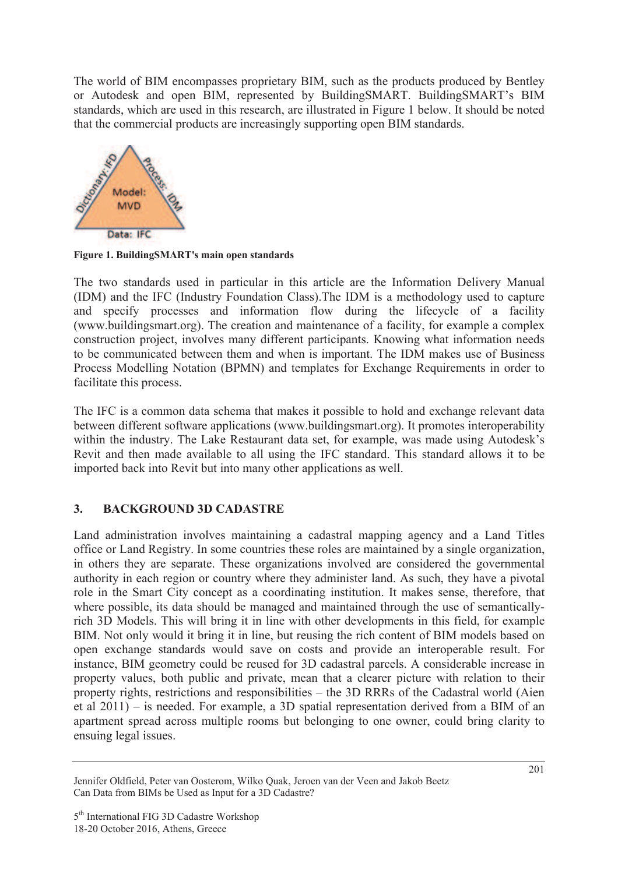The world of BIM encompasses proprietary BIM, such as the products produced by Bentley or Autodesk and open BIM, represented by BuildingSMART. BuildingSMART's BIM standards, which are used in this research, are illustrated in Figure 1 below. It should be noted that the commercial products are increasingly supporting open BIM standards.



**Figure 1. BuildingSMART's main open standards**

The two standards used in particular in this article are the Information Delivery Manual (IDM) and the IFC (Industry Foundation Class).The IDM is a methodology used to capture and specify processes and information flow during the lifecycle of a facility (www.buildingsmart.org). The creation and maintenance of a facility, for example a complex construction project, involves many different participants. Knowing what information needs to be communicated between them and when is important. The IDM makes use of Business Process Modelling Notation (BPMN) and templates for Exchange Requirements in order to facilitate this process.

The IFC is a common data schema that makes it possible to hold and exchange relevant data between different software applications (www.buildingsmart.org). It promotes interoperability within the industry. The Lake Restaurant data set, for example, was made using Autodesk's Revit and then made available to all using the IFC standard. This standard allows it to be imported back into Revit but into many other applications as well.

# **3. BACKGROUND 3D CADASTRE**

Land administration involves maintaining a cadastral mapping agency and a Land Titles office or Land Registry. In some countries these roles are maintained by a single organization, in others they are separate. These organizations involved are considered the governmental authority in each region or country where they administer land. As such, they have a pivotal role in the Smart City concept as a coordinating institution. It makes sense, therefore, that where possible, its data should be managed and maintained through the use of semanticallyrich 3D Models. This will bring it in line with other developments in this field, for example BIM. Not only would it bring it in line, but reusing the rich content of BIM models based on open exchange standards would save on costs and provide an interoperable result. For instance, BIM geometry could be reused for 3D cadastral parcels. A considerable increase in property values, both public and private, mean that a clearer picture with relation to their property rights, restrictions and responsibilities – the 3D RRRs of the Cadastral world (Aien et al 2011) – is needed. For example, a 3D spatial representation derived from a BIM of an apartment spread across multiple rooms but belonging to one owner, could bring clarity to ensuing legal issues.

Jennifer Oldfield, Peter van Oosterom, Wilko Quak, Jeroen van der Veen and Jakob Beetz Can Data from BIMs be Used as Input for a 3D Cadastre?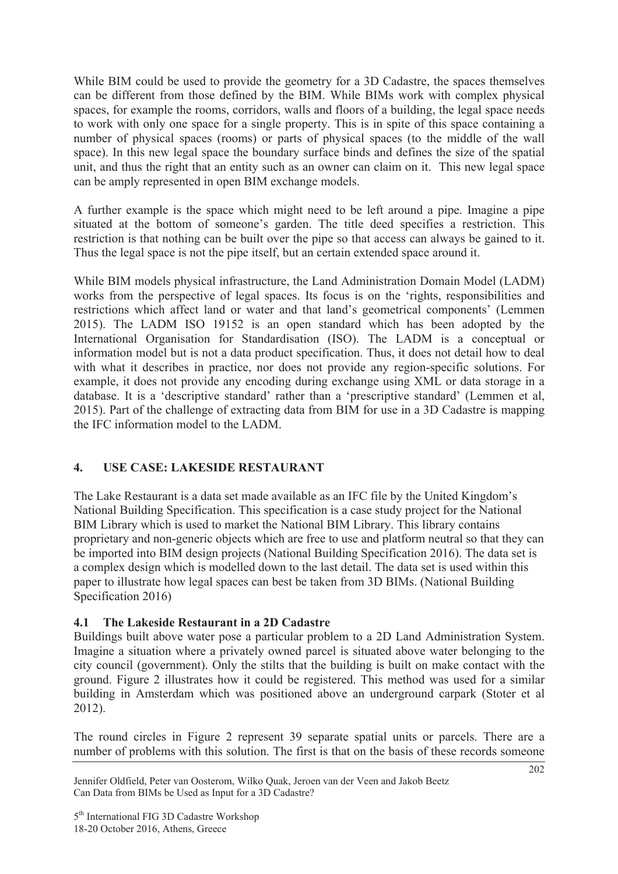While BIM could be used to provide the geometry for a 3D Cadastre, the spaces themselves can be different from those defined by the BIM. While BIMs work with complex physical spaces, for example the rooms, corridors, walls and floors of a building, the legal space needs to work with only one space for a single property. This is in spite of this space containing a number of physical spaces (rooms) or parts of physical spaces (to the middle of the wall space). In this new legal space the boundary surface binds and defines the size of the spatial unit, and thus the right that an entity such as an owner can claim on it. This new legal space can be amply represented in open BIM exchange models.

A further example is the space which might need to be left around a pipe. Imagine a pipe situated at the bottom of someone's garden. The title deed specifies a restriction. This restriction is that nothing can be built over the pipe so that access can always be gained to it. Thus the legal space is not the pipe itself, but an certain extended space around it.

While BIM models physical infrastructure, the Land Administration Domain Model (LADM) works from the perspective of legal spaces. Its focus is on the 'rights, responsibilities and restrictions which affect land or water and that land's geometrical components' (Lemmen 2015). The LADM ISO 19152 is an open standard which has been adopted by the International Organisation for Standardisation (ISO). The LADM is a conceptual or information model but is not a data product specification. Thus, it does not detail how to deal with what it describes in practice, nor does not provide any region-specific solutions. For example, it does not provide any encoding during exchange using XML or data storage in a database. It is a 'descriptive standard' rather than a 'prescriptive standard' (Lemmen et al, 2015). Part of the challenge of extracting data from BIM for use in a 3D Cadastre is mapping the IFC information model to the LADM.

# **4. USE CASE: LAKESIDE RESTAURANT**

The Lake Restaurant is a data set made available as an IFC file by the United Kingdom's National Building Specification. This specification is a case study project for the National BIM Library which is used to market the National BIM Library. This library contains proprietary and non-generic objects which are free to use and platform neutral so that they can be imported into BIM design projects (National Building Specification 2016). The data set is a complex design which is modelled down to the last detail. The data set is used within this paper to illustrate how legal spaces can best be taken from 3D BIMs. (National Building Specification 2016)

### **4.1 The Lakeside Restaurant in a 2D Cadastre**

Buildings built above water pose a particular problem to a 2D Land Administration System. Imagine a situation where a privately owned parcel is situated above water belonging to the city council (government). Only the stilts that the building is built on make contact with the ground. Figure 2 illustrates how it could be registered. This method was used for a similar building in Amsterdam which was positioned above an underground carpark (Stoter et al 2012).

The round circles in Figure 2 represent 39 separate spatial units or parcels. There are a number of problems with this solution. The first is that on the basis of these records someone

Jennifer Oldfield, Peter van Oosterom, Wilko Quak, Jeroen van der Veen and Jakob Beetz Can Data from BIMs be Used as Input for a 3D Cadastre?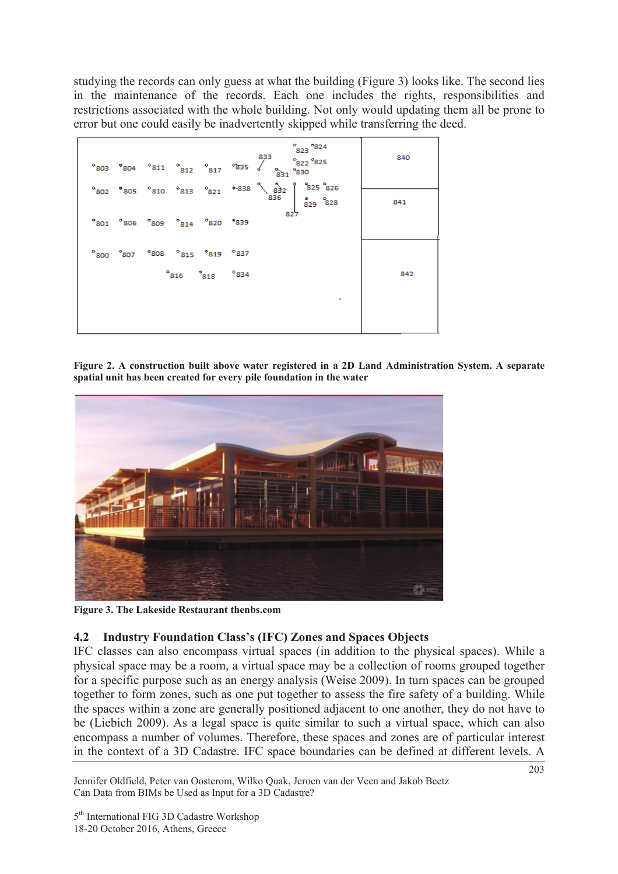studying the records can only guess at what the building (Figure 3) looks like. The second lies in the maintenance of the records. Each one includes the rights, responsibilities and restrictions associated with the whole building. Not only would updating them all be prone to error but one could easily be inadvertently skipped while transferring the deed.

|  |                         |             | $823$ $824$<br>$^{\circ}$ 803 $^{\circ}$ 804 $^{\circ}$ 811 $^{\circ}$ 812 $^{\circ}$ 817 $^{\circ}$ 835 $^{\circ}$ $^{\circ}$ 822 $^{\circ}$ 825 $^{\circ}$ | 840 |
|--|-------------------------|-------------|--------------------------------------------------------------------------------------------------------------------------------------------------------------|-----|
|  |                         |             | $^{\circ}$ 802 $^{\circ}$ 805 $^{\circ}$ 810 $^{\circ}$ 813 $^{\circ}$ 821 $^{\circ}$ 838 $^{\circ}$ 832 $^{\circ}$ 825 $^{\circ}$ 825 $^{\circ}$ 828        | 841 |
|  | 801 806 809 814 820 839 |             |                                                                                                                                                              |     |
|  | 800 807 808 815 819 837 |             |                                                                                                                                                              |     |
|  |                         | 816 818 834 |                                                                                                                                                              | 842 |

**Figure 2. A construction built above water registered in a 2D Land Administration System. A separate spatial unit has been created for every pile foundation in the water** 



**Figure 3. The Lakeside Restaurant thenbs.com** 

### **4.2 Industry Foundation Class's (IFC) Zones and Spaces Objects**

IFC classes can also encompass virtual spaces (in addition to the physical spaces). While a physical space may be a room, a virtual space may be a collection of rooms grouped together for a specific purpose such as an energy analysis (Weise 2009). In turn spaces can be grouped together to form zones, such as one put together to assess the fire safety of a building. While the spaces within a zone are generally positioned adjacent to one another, they do not have to be (Liebich 2009). As a legal space is quite similar to such a virtual space, which can also encompass a number of volumes. Therefore, these spaces and zones are of particular interest in the context of a 3D Cadastre. IFC space boundaries can be defined at different levels. A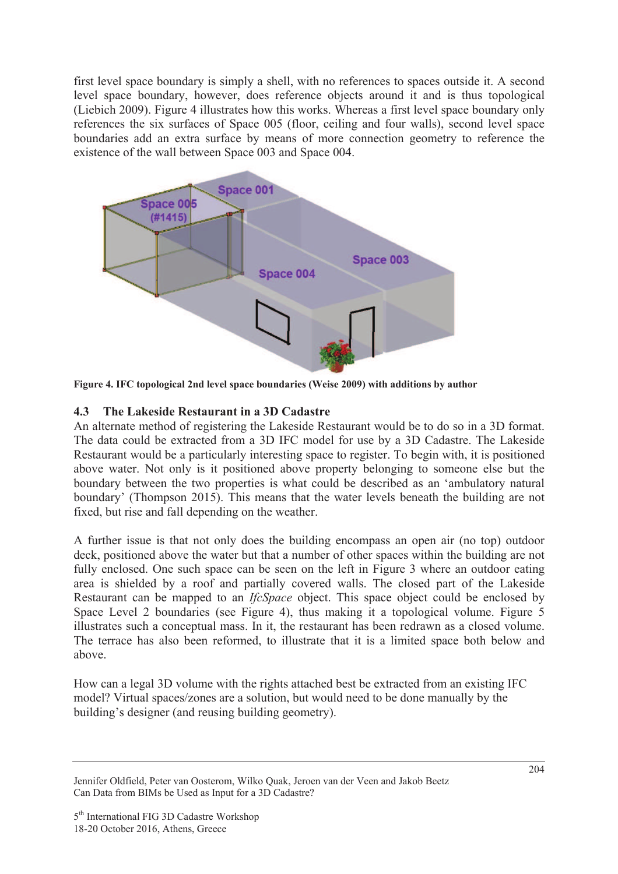first level space boundary is simply a shell, with no references to spaces outside it. A second level space boundary, however, does reference objects around it and is thus topological (Liebich 2009). Figure 4 illustrates how this works. Whereas a first level space boundary only references the six surfaces of Space 005 (floor, ceiling and four walls), second level space boundaries add an extra surface by means of more connection geometry to reference the existence of the wall between Space 003 and Space 004.



**Figure 4. IFC topological 2nd level space boundaries (Weise 2009) with additions by author**

# **4.3 The Lakeside Restaurant in a 3D Cadastre**

An alternate method of registering the Lakeside Restaurant would be to do so in a 3D format. The data could be extracted from a 3D IFC model for use by a 3D Cadastre. The Lakeside Restaurant would be a particularly interesting space to register. To begin with, it is positioned above water. Not only is it positioned above property belonging to someone else but the boundary between the two properties is what could be described as an 'ambulatory natural boundary' (Thompson 2015). This means that the water levels beneath the building are not fixed, but rise and fall depending on the weather.

A further issue is that not only does the building encompass an open air (no top) outdoor deck, positioned above the water but that a number of other spaces within the building are not fully enclosed. One such space can be seen on the left in Figure 3 where an outdoor eating area is shielded by a roof and partially covered walls. The closed part of the Lakeside Restaurant can be mapped to an *IfcSpace* object. This space object could be enclosed by Space Level 2 boundaries (see Figure 4), thus making it a topological volume. Figure 5 illustrates such a conceptual mass. In it, the restaurant has been redrawn as a closed volume. The terrace has also been reformed, to illustrate that it is a limited space both below and above.

How can a legal 3D volume with the rights attached best be extracted from an existing IFC model? Virtual spaces/zones are a solution, but would need to be done manually by the building's designer (and reusing building geometry).

Jennifer Oldfield, Peter van Oosterom, Wilko Quak, Jeroen van der Veen and Jakob Beetz Can Data from BIMs be Used as Input for a 3D Cadastre?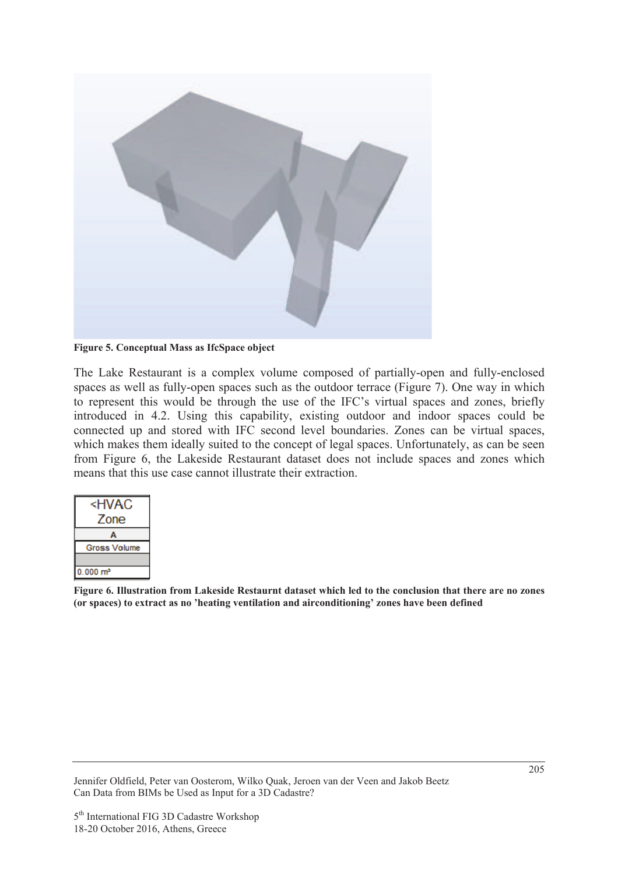

**Figure 5. Conceptual Mass as IfcSpace object** 

The Lake Restaurant is a complex volume composed of partially-open and fully-enclosed spaces as well as fully-open spaces such as the outdoor terrace (Figure 7). One way in which to represent this would be through the use of the IFC's virtual spaces and zones, briefly introduced in 4.2. Using this capability, existing outdoor and indoor spaces could be connected up and stored with IFC second level boundaries. Zones can be virtual spaces, which makes them ideally suited to the concept of legal spaces. Unfortunately, as can be seen from Figure 6, the Lakeside Restaurant dataset does not include spaces and zones which means that this use case cannot illustrate their extraction.

| ≺HVAC               |  |  |  |  |
|---------------------|--|--|--|--|
| Zone                |  |  |  |  |
|                     |  |  |  |  |
| <b>Gross Volume</b> |  |  |  |  |
|                     |  |  |  |  |
| $0.000 \text{ m}^3$ |  |  |  |  |

**Figure 6. Illustration from Lakeside Restaurnt dataset which led to the conclusion that there are no zones (or spaces) to extract as no 'heating ventilation and airconditioning' zones have been defined**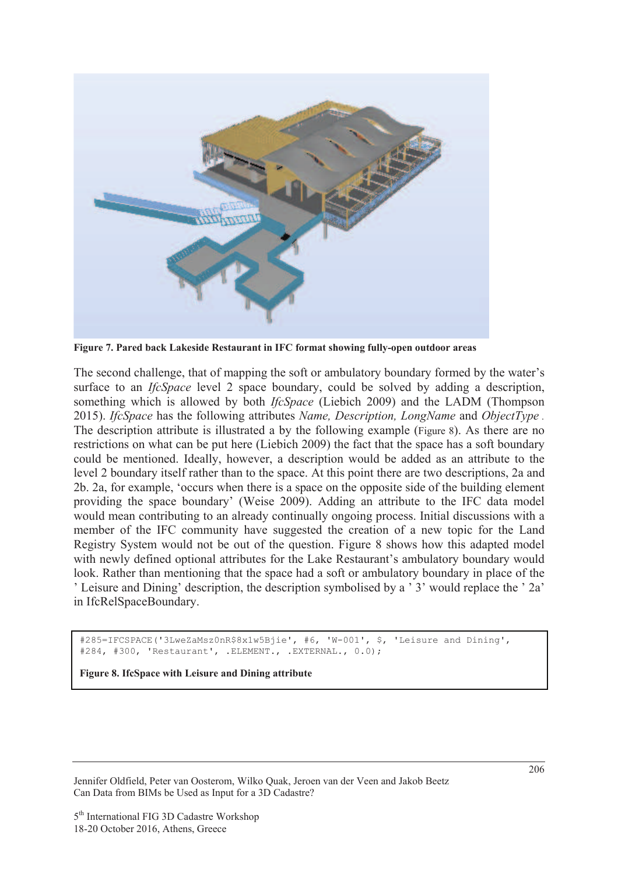

**Figure 7. Pared back Lakeside Restaurant in IFC format showing fully-open outdoor areas**

The second challenge, that of mapping the soft or ambulatory boundary formed by the water's surface to an *IfcSpace* level 2 space boundary, could be solved by adding a description, something which is allowed by both *IfcSpace* (Liebich 2009) and the LADM (Thompson 2015). *IfcSpace* has the following attributes *Name, Description, LongName* and *ObjectType .*  The description attribute is illustrated a by the following example (Figure 8). As there are no restrictions on what can be put here (Liebich 2009) the fact that the space has a soft boundary could be mentioned. Ideally, however, a description would be added as an attribute to the level 2 boundary itself rather than to the space. At this point there are two descriptions, 2a and 2b. 2a, for example, 'occurs when there is a space on the opposite side of the building element providing the space boundary' (Weise 2009). Adding an attribute to the IFC data model would mean contributing to an already continually ongoing process. Initial discussions with a member of the IFC community have suggested the creation of a new topic for the Land Registry System would not be out of the question. Figure 8 shows how this adapted model with newly defined optional attributes for the Lake Restaurant's ambulatory boundary would look. Rather than mentioning that the space had a soft or ambulatory boundary in place of the ' Leisure and Dining' description, the description symbolised by a ' 3' would replace the ' 2a' in IfcRelSpaceBoundary.

#285=IFCSPACE('3LweZaMsz0nR\$8x1w5Bjie', #6, 'W-001', \$, 'Leisure and Dining', #284, #300, 'Restaurant', .ELEMENT., .EXTERNAL., 0.0);

**Figure 8. IfcSpace with Leisure and Dining attribute**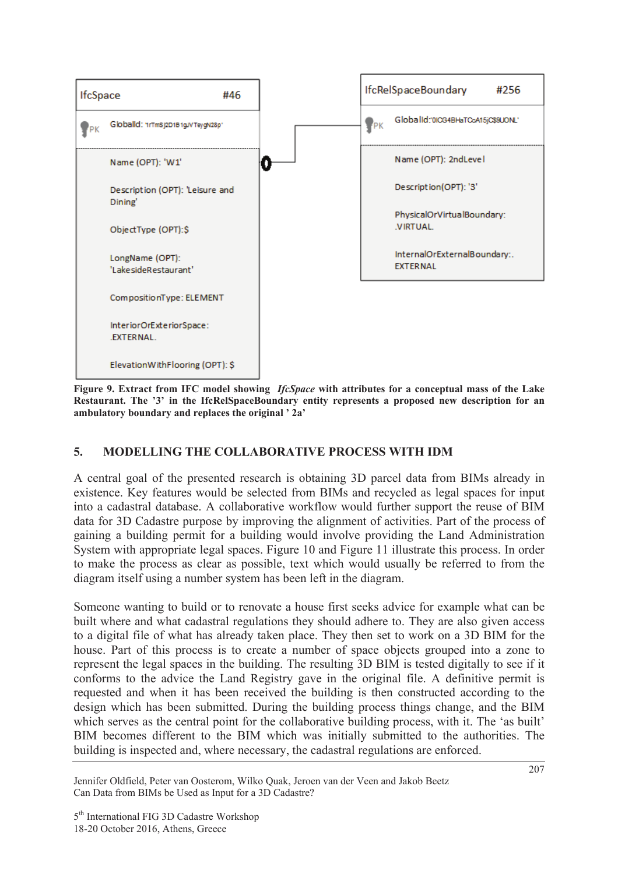

**Figure 9. Extract from IFC model showing** *IfcSpace* **with attributes for a conceptual mass of the Lake Restaurant. The '3' in the IfcRelSpaceBoundary entity represents a proposed new description for an ambulatory boundary and replaces the original ' 2a'**

# **5. MODELLING THE COLLABORATIVE PROCESS WITH IDM**

A central goal of the presented research is obtaining 3D parcel data from BIMs already in existence. Key features would be selected from BIMs and recycled as legal spaces for input into a cadastral database. A collaborative workflow would further support the reuse of BIM data for 3D Cadastre purpose by improving the alignment of activities. Part of the process of gaining a building permit for a building would involve providing the Land Administration System with appropriate legal spaces. Figure 10 and Figure 11 illustrate this process. In order to make the process as clear as possible, text which would usually be referred to from the diagram itself using a number system has been left in the diagram.

Someone wanting to build or to renovate a house first seeks advice for example what can be built where and what cadastral regulations they should adhere to. They are also given access to a digital file of what has already taken place. They then set to work on a 3D BIM for the house. Part of this process is to create a number of space objects grouped into a zone to represent the legal spaces in the building. The resulting 3D BIM is tested digitally to see if it conforms to the advice the Land Registry gave in the original file. A definitive permit is requested and when it has been received the building is then constructed according to the design which has been submitted. During the building process things change, and the BIM which serves as the central point for the collaborative building process, with it. The 'as built' BIM becomes different to the BIM which was initially submitted to the authorities. The building is inspected and, where necessary, the cadastral regulations are enforced.

Jennifer Oldfield, Peter van Oosterom, Wilko Quak, Jeroen van der Veen and Jakob Beetz Can Data from BIMs be Used as Input for a 3D Cadastre?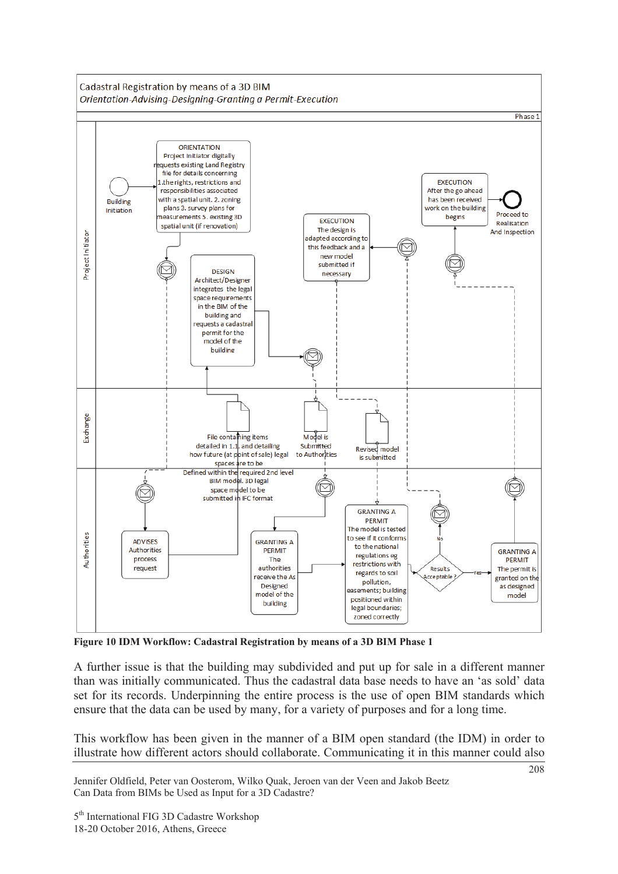

**Figure 10 IDM Workflow: Cadastral Registration by means of a 3D BIM Phase 1** 

A further issue is that the building may subdivided and put up for sale in a different manner than was initially communicated. Thus the cadastral data base needs to have an 'as sold' data set for its records. Underpinning the entire process is the use of open BIM standards which ensure that the data can be used by many, for a variety of purposes and for a long time.

This workflow has been given in the manner of a BIM open standard (the IDM) in order to illustrate how different actors should collaborate. Communicating it in this manner could also

Jennifer Oldfield, Peter van Oosterom, Wilko Quak, Jeroen van der Veen and Jakob Beetz Can Data from BIMs be Used as Input for a 3D Cadastre?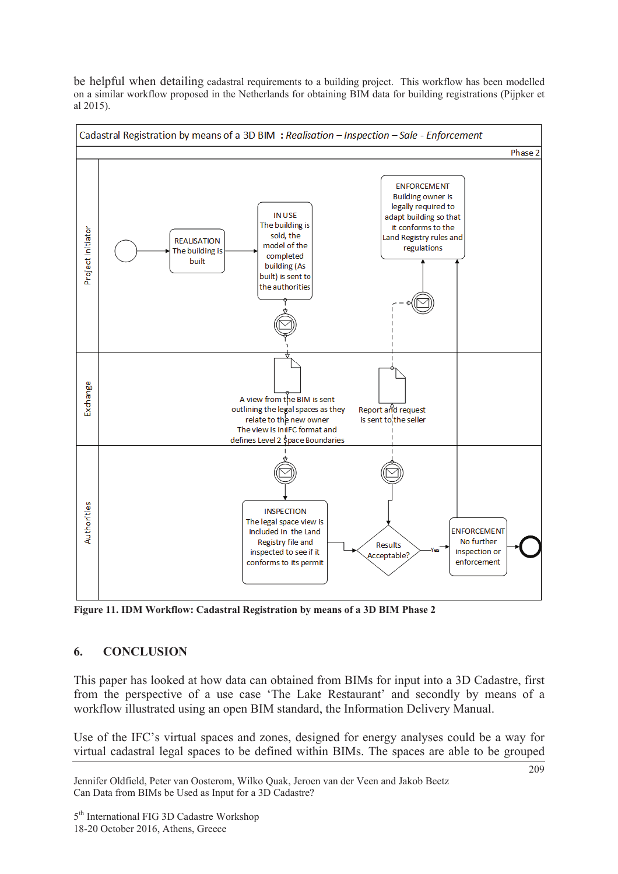be helpful when detailing cadastral requirements to a building project. This workflow has been modelled on a similar workflow proposed in the Netherlands for obtaining BIM data for building registrations (Pijpker et al 2015).



**Figure 11. IDM Workflow: Cadastral Registration by means of a 3D BIM Phase 2** 

# **6. CONCLUSION**

This paper has looked at how data can obtained from BIMs for input into a 3D Cadastre, first from the perspective of a use case 'The Lake Restaurant' and secondly by means of a workflow illustrated using an open BIM standard, the Information Delivery Manual.

Use of the IFC's virtual spaces and zones, designed for energy analyses could be a way for virtual cadastral legal spaces to be defined within BIMs. The spaces are able to be grouped

Jennifer Oldfield, Peter van Oosterom, Wilko Quak, Jeroen van der Veen and Jakob Beetz Can Data from BIMs be Used as Input for a 3D Cadastre?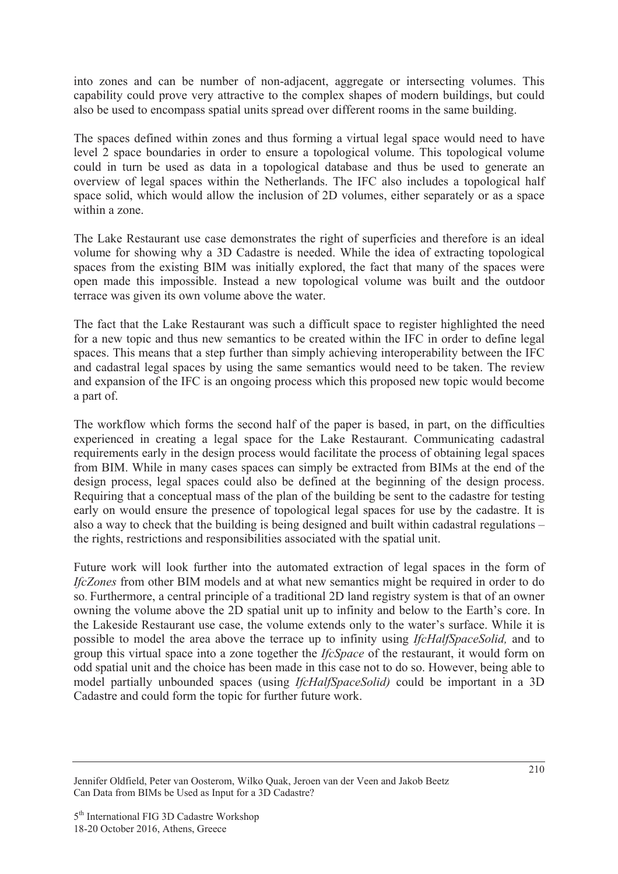into zones and can be number of non-adjacent, aggregate or intersecting volumes. This capability could prove very attractive to the complex shapes of modern buildings, but could also be used to encompass spatial units spread over different rooms in the same building.

The spaces defined within zones and thus forming a virtual legal space would need to have level 2 space boundaries in order to ensure a topological volume. This topological volume could in turn be used as data in a topological database and thus be used to generate an overview of legal spaces within the Netherlands. The IFC also includes a topological half space solid, which would allow the inclusion of 2D volumes, either separately or as a space within a zone.

The Lake Restaurant use case demonstrates the right of superficies and therefore is an ideal volume for showing why a 3D Cadastre is needed. While the idea of extracting topological spaces from the existing BIM was initially explored, the fact that many of the spaces were open made this impossible. Instead a new topological volume was built and the outdoor terrace was given its own volume above the water.

The fact that the Lake Restaurant was such a difficult space to register highlighted the need for a new topic and thus new semantics to be created within the IFC in order to define legal spaces. This means that a step further than simply achieving interoperability between the IFC and cadastral legal spaces by using the same semantics would need to be taken. The review and expansion of the IFC is an ongoing process which this proposed new topic would become a part of.

The workflow which forms the second half of the paper is based, in part, on the difficulties experienced in creating a legal space for the Lake Restaurant. Communicating cadastral requirements early in the design process would facilitate the process of obtaining legal spaces from BIM. While in many cases spaces can simply be extracted from BIMs at the end of the design process, legal spaces could also be defined at the beginning of the design process. Requiring that a conceptual mass of the plan of the building be sent to the cadastre for testing early on would ensure the presence of topological legal spaces for use by the cadastre. It is also a way to check that the building is being designed and built within cadastral regulations – the rights, restrictions and responsibilities associated with the spatial unit.

Future work will look further into the automated extraction of legal spaces in the form of *IfcZones* from other BIM models and at what new semantics might be required in order to do so. Furthermore, a central principle of a traditional 2D land registry system is that of an owner owning the volume above the 2D spatial unit up to infinity and below to the Earth's core. In the Lakeside Restaurant use case, the volume extends only to the water's surface. While it is possible to model the area above the terrace up to infinity using *IfcHalfSpaceSolid,* and to group this virtual space into a zone together the *IfcSpace* of the restaurant, it would form on odd spatial unit and the choice has been made in this case not to do so. However, being able to model partially unbounded spaces (using *IfcHalfSpaceSolid)* could be important in a 3D Cadastre and could form the topic for further future work.

Jennifer Oldfield, Peter van Oosterom, Wilko Quak, Jeroen van der Veen and Jakob Beetz Can Data from BIMs be Used as Input for a 3D Cadastre?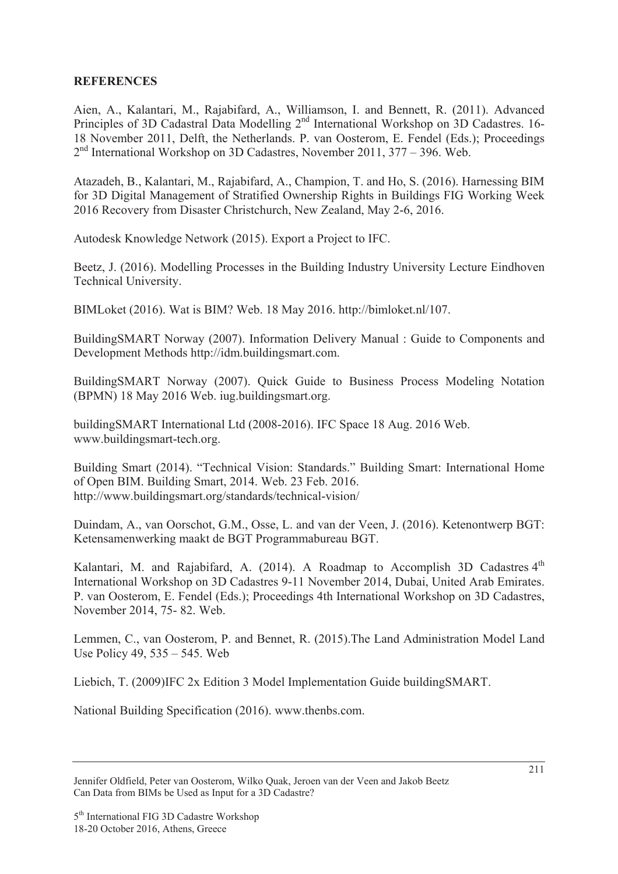### **REFERENCES**

Aien, A., Kalantari, M., Rajabifard, A., Williamson, I. and Bennett, R. (2011). Advanced Principles of 3D Cadastral Data Modelling 2nd International Workshop on 3D Cadastres. 16- 18 November 2011, Delft, the Netherlands. P. van Oosterom, E. Fendel (Eds.); Proceedings 2<sup>nd</sup> International Workshop on 3D Cadastres, November 2011, 377 – 396. Web.

Atazadeh, B., Kalantari, M., Rajabifard, A., Champion, T. and Ho, S. (2016). Harnessing BIM for 3D Digital Management of Stratified Ownership Rights in Buildings FIG Working Week 2016 Recovery from Disaster Christchurch, New Zealand, May 2-6, 2016.

Autodesk Knowledge Network (2015). Export a Project to IFC.

Beetz, J. (2016). Modelling Processes in the Building Industry University Lecture Eindhoven Technical University.

BIMLoket (2016). Wat is BIM? Web. 18 May 2016. http://bimloket.nl/107.

BuildingSMART Norway (2007). Information Delivery Manual : Guide to Components and Development Methods http://idm.buildingsmart.com.

BuildingSMART Norway (2007). Quick Guide to Business Process Modeling Notation (BPMN) 18 May 2016 Web. iug.buildingsmart.org.

buildingSMART International Ltd (2008-2016). IFC Space 18 Aug. 2016 Web. www.buildingsmart-tech.org.

Building Smart (2014). "Technical Vision: Standards." Building Smart: International Home of Open BIM. Building Smart, 2014. Web. 23 Feb. 2016. http://www.buildingsmart.org/standards/technical-vision/

Duindam, A., van Oorschot, G.M., Osse, L. and van der Veen, J. (2016). Ketenontwerp BGT: Ketensamenwerking maakt de BGT Programmabureau BGT.

Kalantari, M. and Rajabifard, A. (2014). A Roadmap to Accomplish 3D Cadastres  $4<sup>th</sup>$ International Workshop on 3D Cadastres 9-11 November 2014, Dubai, United Arab Emirates. P. van Oosterom, E. Fendel (Eds.); Proceedings 4th International Workshop on 3D Cadastres, November 2014, 75- 82. Web.

Lemmen, C., van Oosterom, P. and Bennet, R. (2015).The Land Administration Model Land Use Policy 49, 535 – 545. Web

Liebich, T. (2009)IFC 2x Edition 3 Model Implementation Guide buildingSMART.

National Building Specification (2016). www.thenbs.com.

Jennifer Oldfield, Peter van Oosterom, Wilko Quak, Jeroen van der Veen and Jakob Beetz Can Data from BIMs be Used as Input for a 3D Cadastre?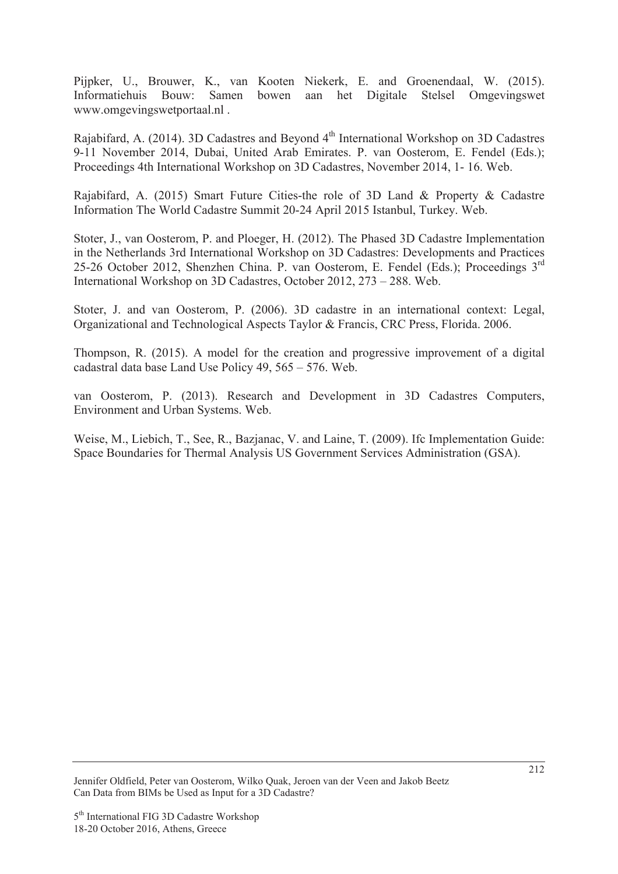Pijpker, U., Brouwer, K., van Kooten Niekerk, E. and Groenendaal, W. (2015). Informatiehuis Bouw: Samen bowen aan het Digitale Stelsel Omgevingswet www.omgevingswetportaal.nl .

Rajabifard, A. (2014). 3D Cadastres and Beyond 4<sup>th</sup> International Workshop on 3D Cadastres 9-11 November 2014, Dubai, United Arab Emirates. P. van Oosterom, E. Fendel (Eds.); Proceedings 4th International Workshop on 3D Cadastres, November 2014, 1- 16. Web.

Rajabifard, A. (2015) Smart Future Cities-the role of 3D Land & Property & Cadastre Information The World Cadastre Summit 20-24 April 2015 Istanbul, Turkey. Web.

Stoter, J., van Oosterom, P. and Ploeger, H. (2012). The Phased 3D Cadastre Implementation in the Netherlands 3rd International Workshop on 3D Cadastres: Developments and Practices 25-26 October 2012, Shenzhen China. P. van Oosterom, E. Fendel (Eds.); Proceedings 3<sup>rd</sup> International Workshop on 3D Cadastres, October 2012, 273 – 288. Web.

Stoter, J. and van Oosterom, P. (2006). 3D cadastre in an international context: Legal, Organizational and Technological Aspects Taylor & Francis, CRC Press, Florida. 2006.

Thompson, R. (2015). A model for the creation and progressive improvement of a digital cadastral data base Land Use Policy 49, 565 – 576. Web.

van Oosterom, P. (2013). Research and Development in 3D Cadastres Computers, Environment and Urban Systems. Web.

Weise, M., Liebich, T., See, R., Bazjanac, V. and Laine, T. (2009). Ifc Implementation Guide: Space Boundaries for Thermal Analysis US Government Services Administration (GSA).

Jennifer Oldfield, Peter van Oosterom, Wilko Quak, Jeroen van der Veen and Jakob Beetz Can Data from BIMs be Used as Input for a 3D Cadastre?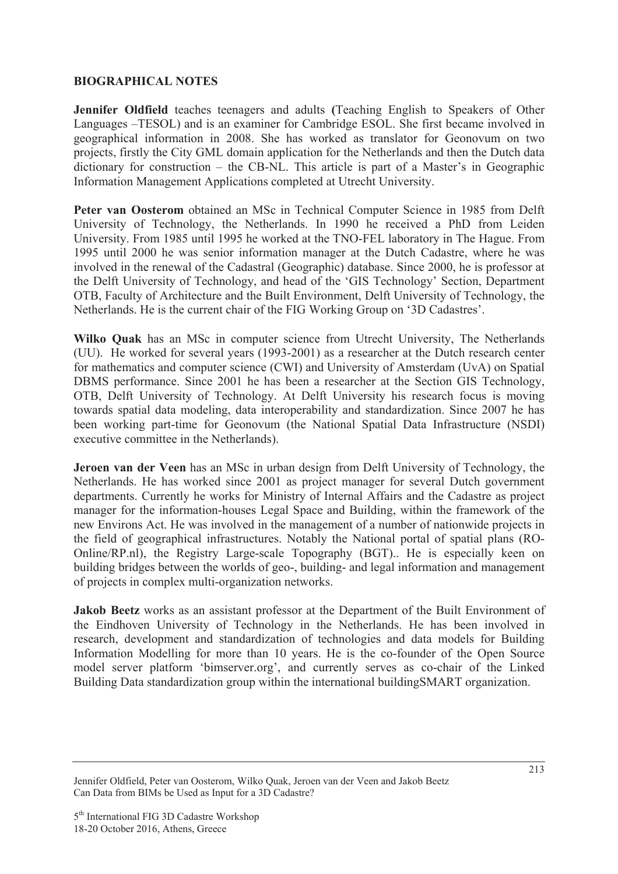### **BIOGRAPHICAL NOTES**

**Jennifer Oldfield** teaches teenagers and adults **(**Teaching English to Speakers of Other Languages –TESOL) and is an examiner for Cambridge ESOL. She first became involved in geographical information in 2008. She has worked as translator for Geonovum on two projects, firstly the City GML domain application for the Netherlands and then the Dutch data dictionary for construction – the CB-NL. This article is part of a Master's in Geographic Information Management Applications completed at Utrecht University.

**Peter van Oosterom** obtained an MSc in Technical Computer Science in 1985 from Delft University of Technology, the Netherlands. In 1990 he received a PhD from Leiden University. From 1985 until 1995 he worked at the TNO-FEL laboratory in The Hague. From 1995 until 2000 he was senior information manager at the Dutch Cadastre, where he was involved in the renewal of the Cadastral (Geographic) database. Since 2000, he is professor at the Delft University of Technology, and head of the 'GIS Technology' Section, Department OTB, Faculty of Architecture and the Built Environment, Delft University of Technology, the Netherlands. He is the current chair of the FIG Working Group on '3D Cadastres'.

**Wilko Quak** has an MSc in computer science from Utrecht University, The Netherlands (UU). He worked for several years (1993-2001) as a researcher at the Dutch research center for mathematics and computer science (CWI) and University of Amsterdam (UvA) on Spatial DBMS performance. Since 2001 he has been a researcher at the Section GIS Technology, OTB, Delft University of Technology. At Delft University his research focus is moving towards spatial data modeling, data interoperability and standardization. Since 2007 he has been working part-time for Geonovum (the National Spatial Data Infrastructure (NSDI) executive committee in the Netherlands).

**Jeroen van der Veen** has an MSc in urban design from Delft University of Technology, the Netherlands. He has worked since 2001 as project manager for several Dutch government departments. Currently he works for Ministry of Internal Affairs and the Cadastre as project manager for the information-houses Legal Space and Building, within the framework of the new Environs Act. He was involved in the management of a number of nationwide projects in the field of geographical infrastructures. Notably the National portal of spatial plans (RO-Online/RP.nl), the Registry Large-scale Topography (BGT).. He is especially keen on building bridges between the worlds of geo-, building- and legal information and management of projects in complex multi-organization networks.

**Jakob Beetz** works as an assistant professor at the Department of the Built Environment of the Eindhoven University of Technology in the Netherlands. He has been involved in research, development and standardization of technologies and data models for Building Information Modelling for more than 10 years. He is the co-founder of the Open Source model server platform 'bimserver.org', and currently serves as co-chair of the Linked Building Data standardization group within the international buildingSMART organization.

Jennifer Oldfield, Peter van Oosterom, Wilko Quak, Jeroen van der Veen and Jakob Beetz Can Data from BIMs be Used as Input for a 3D Cadastre?